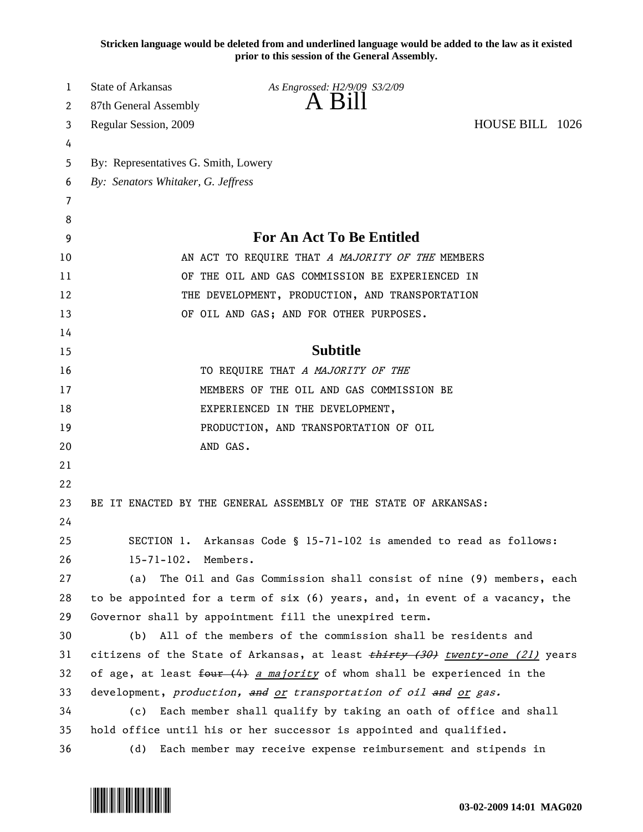**Stricken language would be deleted from and underlined language would be added to the law as it existed prior to this session of the General Assembly.**

| 1  | <b>State of Arkansas</b>                                                 | As Engrossed: H2/9/09 S3/2/09                                                        |                 |  |
|----|--------------------------------------------------------------------------|--------------------------------------------------------------------------------------|-----------------|--|
| 2  | 87th General Assembly                                                    | A Bill                                                                               |                 |  |
| 3  | Regular Session, 2009                                                    |                                                                                      | HOUSE BILL 1026 |  |
| 4  |                                                                          |                                                                                      |                 |  |
| 5  | By: Representatives G. Smith, Lowery                                     |                                                                                      |                 |  |
| 6  | By: Senators Whitaker, G. Jeffress                                       |                                                                                      |                 |  |
| 7  |                                                                          |                                                                                      |                 |  |
| 8  |                                                                          |                                                                                      |                 |  |
| 9  | <b>For An Act To Be Entitled</b>                                         |                                                                                      |                 |  |
| 10 |                                                                          | AN ACT TO REQUIRE THAT A MAJORITY OF THE MEMBERS                                     |                 |  |
| 11 | OF THE OIL AND GAS COMMISSION BE EXPERIENCED IN                          |                                                                                      |                 |  |
| 12 |                                                                          | THE DEVELOPMENT, PRODUCTION, AND TRANSPORTATION                                      |                 |  |
| 13 |                                                                          | OF OIL AND GAS; AND FOR OTHER PURPOSES.                                              |                 |  |
| 14 |                                                                          |                                                                                      |                 |  |
| 15 |                                                                          | <b>Subtitle</b>                                                                      |                 |  |
| 16 |                                                                          | TO REQUIRE THAT A MAJORITY OF THE                                                    |                 |  |
| 17 |                                                                          | MEMBERS OF THE OIL AND GAS COMMISSION BE                                             |                 |  |
| 18 |                                                                          | EXPERIENCED IN THE DEVELOPMENT,                                                      |                 |  |
| 19 |                                                                          | PRODUCTION, AND TRANSPORTATION OF OIL                                                |                 |  |
| 20 |                                                                          | AND GAS.                                                                             |                 |  |
| 21 |                                                                          |                                                                                      |                 |  |
| 22 |                                                                          |                                                                                      |                 |  |
| 23 |                                                                          | BE IT ENACTED BY THE GENERAL ASSEMBLY OF THE STATE OF ARKANSAS:                      |                 |  |
| 24 |                                                                          |                                                                                      |                 |  |
| 25 |                                                                          | SECTION 1. Arkansas Code § 15-71-102 is amended to read as follows:                  |                 |  |
| 26 | 15-71-102. Members.                                                      |                                                                                      |                 |  |
| 27 | (a)                                                                      | The Oil and Gas Commission shall consist of nine (9) members, each                   |                 |  |
| 28 |                                                                          | to be appointed for a term of six (6) years, and, in event of a vacancy, the         |                 |  |
| 29 |                                                                          | Governor shall by appointment fill the unexpired term.                               |                 |  |
| 30 |                                                                          | (b) All of the members of the commission shall be residents and                      |                 |  |
| 31 |                                                                          | citizens of the State of Arkansas, at least <i>thirty (30) twenty-one (21)</i> years |                 |  |
| 32 | of age, at least four (4) a majority of whom shall be experienced in the |                                                                                      |                 |  |
| 33 |                                                                          | development, production, and or transportation of oil and or gas.                    |                 |  |
| 34 | (c)                                                                      | Each member shall qualify by taking an oath of office and shall                      |                 |  |
| 35 |                                                                          | hold office until his or her successor is appointed and qualified.                   |                 |  |
| 36 | (d)                                                                      | Each member may receive expense reimbursement and stipends in                        |                 |  |